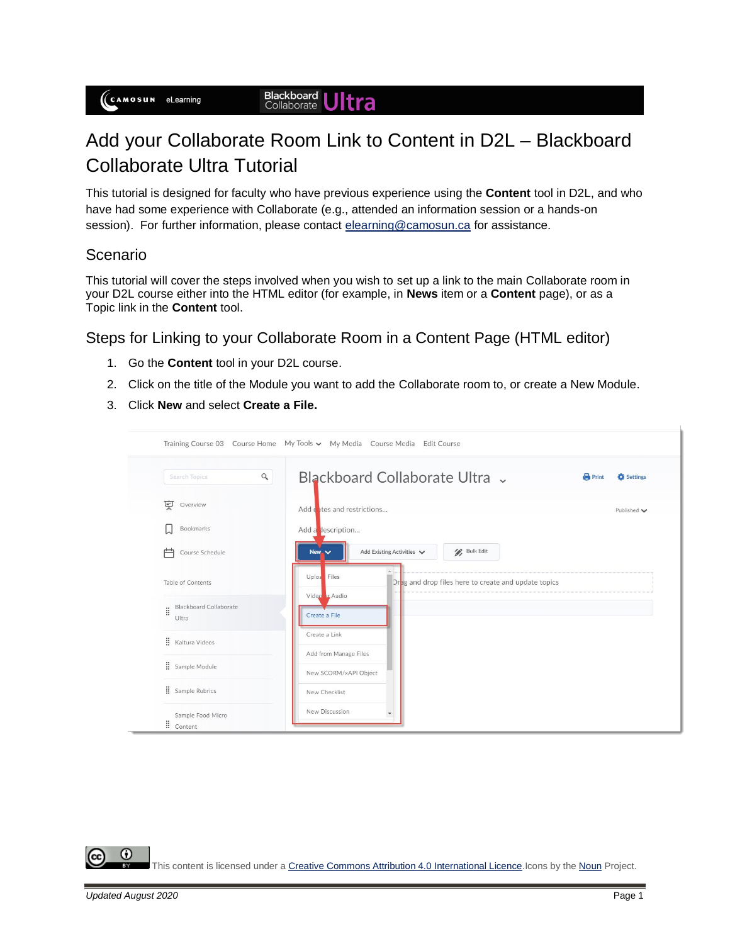## **Blackboard Ultra**

## Add your Collaborate Room Link to Content in D2L – Blackboard Collaborate Ultra Tutorial

This tutorial is designed for faculty who have previous experience using the **Content** tool in D2L, and who have had some experience with Collaborate (e.g., attended an information session or a hands-on session). For further information, please contact [elearning@camosun.ca](mailto:elearning@camosun.ca) for assistance.

## Scenario

This tutorial will cover the steps involved when you wish to set up a link to the main Collaborate room in your D2L course either into the HTML editor (for example, in **News** item or a **Content** page), or as a Topic link in the **Content** tool.

Steps for Linking to your Collaborate Room in a Content Page (HTML editor)

- 1. Go the **Content** tool in your D2L course.
- 2. Click on the title of the Module you want to add the Collaborate room to, or create a New Module.
- 3. Click **New** and select **Create a File.**

| $\alpha$<br>Search Topics                    | Blackboard Collaborate Ultra v                                      | <b>Print</b><br>Settings |
|----------------------------------------------|---------------------------------------------------------------------|--------------------------|
| Overview                                     | Add dates and restrictions                                          | Published $\smile$       |
| <b>Bookmarks</b>                             | Add a description                                                   |                          |
| Course Schedule<br>Բ                         | <b>Bulk Edit</b><br>Add Existing Activities $\vee$<br>New v         |                          |
| Table of Contents                            | Uploa Files<br>Orag and drop files here to create and update topics |                          |
| <b>Blackboard Collaborate</b><br>Ħ.<br>Ultra | Video br Audio<br>Create a File                                     |                          |
| <b>H</b> Kaltura Videos                      | Create a Link                                                       |                          |
| Sample Module                                | Add from Manage Files<br>New SCORM/xAPI Object                      |                          |
| Sample Rubrics                               | New Checklist                                                       |                          |

O This content is licensed under a [Creative Commons Attribution 4.0 International Licence.I](https://creativecommons.org/licenses/by/4.0/)cons by the [Noun](https://creativecommons.org/website-icons/) Project.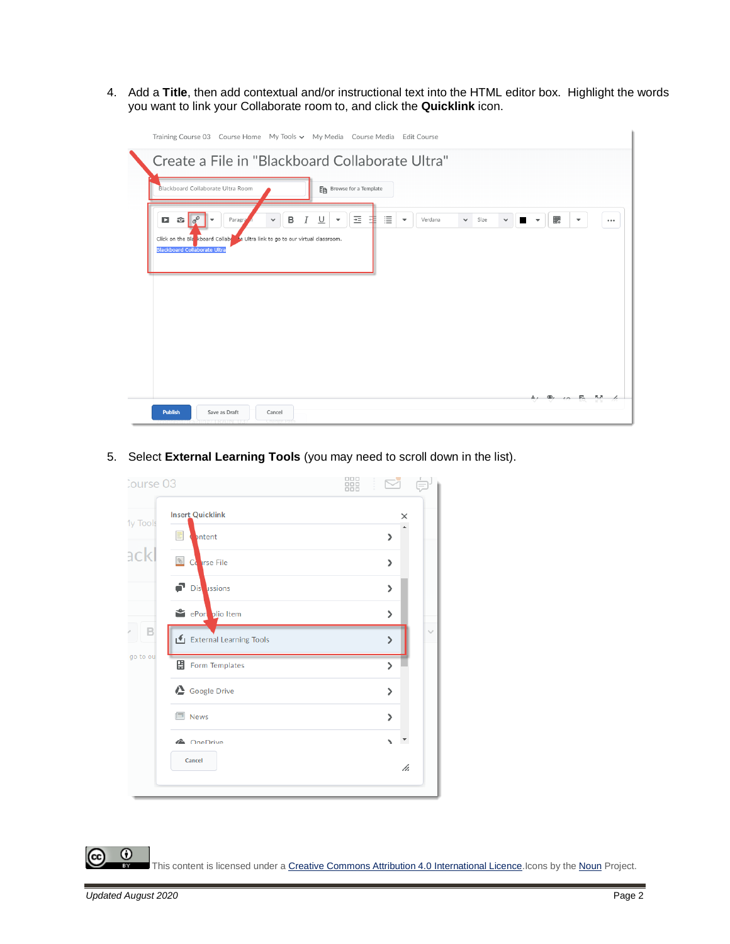4. Add a **Title**, then add contextual and/or instructional text into the HTML editor box. Highlight the words you want to link your Collaborate room to, and click the **Quicklink** icon.

| Training Course 03 Course Home My Tools v My Media Course Media Edit Course                                                                                                                                      |                                                                                                                                                        |
|------------------------------------------------------------------------------------------------------------------------------------------------------------------------------------------------------------------|--------------------------------------------------------------------------------------------------------------------------------------------------------|
| Create a File in "Blackboard Collaborate Ultra"                                                                                                                                                                  |                                                                                                                                                        |
| Blackboard Collaborate Ultra Room<br>Ep Browse for a Template                                                                                                                                                    |                                                                                                                                                        |
| 뇬<br>∪<br>в<br>$\mathbf{E}$ $\sigma^{\circ}$<br>o<br>Paragra<br>Ι<br>$\checkmark$<br>▼<br>Click on the Blankboard Collabert to Ultra link to go to our virtual classroom.<br><b>Blackboard Collaborate Ultra</b> | 這<br>騦<br>Verdana<br>$\vee$ Size<br>$\checkmark$<br>$\overline{\phantom{a}}$<br>$\overline{\phantom{a}}$<br>$\overline{\phantom{a}}$<br>H.<br>$\cdots$ |
|                                                                                                                                                                                                                  |                                                                                                                                                        |
| <b>Publish</b><br>Save as Draft<br>Cancel                                                                                                                                                                        | $\Delta$ , $\Phi$ , $\Delta$ , $\mathbb{F}_0$ , $\mathbb{R}_1$ , $\Delta$                                                                              |

5. Select **External Learning Tools** (you may need to scroll down in the list).

| Course 03 |                          | 器 |                       |              |
|-----------|--------------------------|---|-----------------------|--------------|
| 1y Tools  | <b>Insert Quicklink</b>  |   |                       | ×            |
|           | bntent<br>≡              |   | ⋗                     |              |
| ackl      | <b>&amp;</b> Corrse File |   | ⋋                     |              |
|           | Distances                |   | ⋟                     |              |
|           | ePort plio Item          |   | $\mathbf{r}$          |              |
| B         | External Learning Tools  |   | ⋟                     | $\checkmark$ |
| go to ou  | <b>出</b> Form Templates  |   | ⋗                     |              |
|           | Google Drive             |   | $\mathbf{\mathbf{z}}$ |              |
|           | <b>News</b>              |   | $\mathbf{z}$          |              |
|           | <b>&amp;</b> OneDrive    |   | N                     | UT.          |
|           | Cancel                   |   |                       | h.           |
|           |                          |   |                       |              |

 $\odot$ (cc This content is licensed under a [Creative Commons Attribution 4.0 International Licence.I](https://creativecommons.org/licenses/by/4.0/)cons by the [Noun](https://creativecommons.org/website-icons/) Project.  $\bar{\bullet}$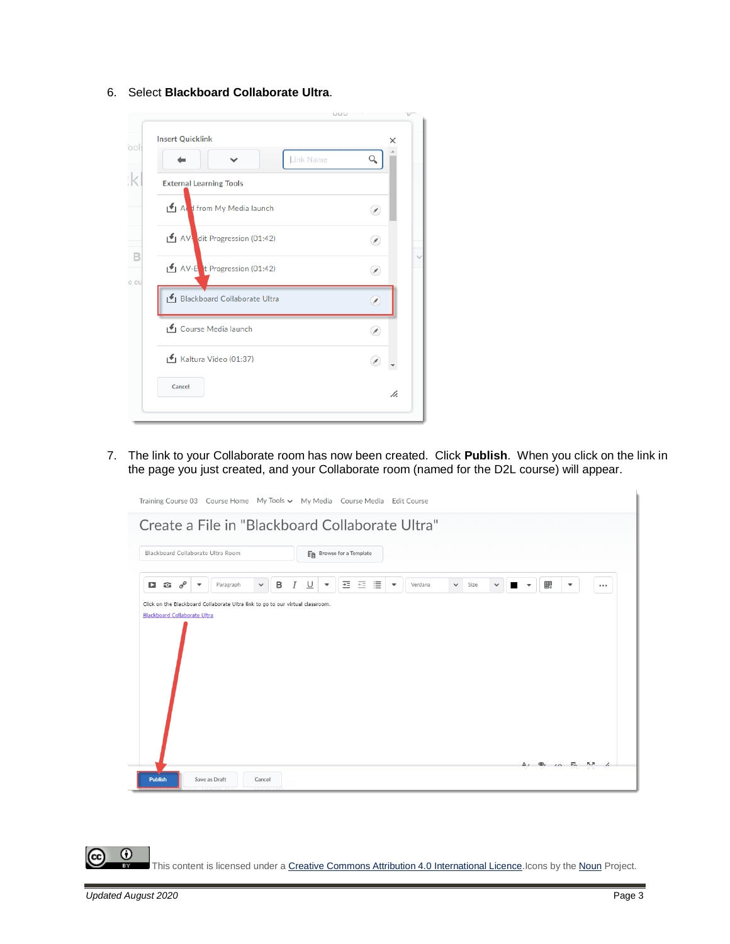6. Select **Blackboard Collaborate Ultra**.



7. The link to your Collaborate room has now been created. Click **Publish**. When you click on the link in the page you just created, and your Collaborate room (named for the D2L course) will appear.



 $\odot$ This content is licensed under a [Creative Commons Attribution 4.0 International Licence.I](https://creativecommons.org/licenses/by/4.0/)cons by the [Noun](https://creativecommons.org/website-icons/) Project.